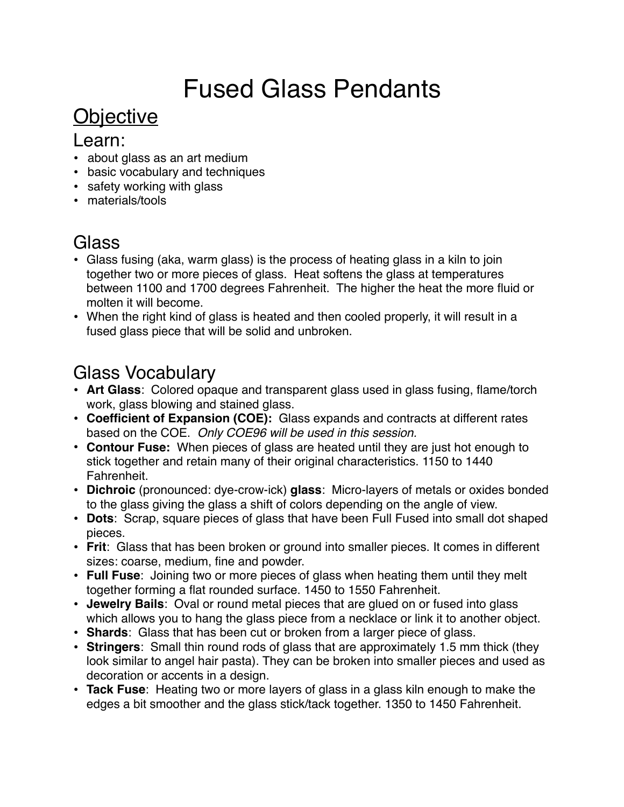# Fused Glass Pendants

### **Objective**

#### Learn:

- about glass as an art medium
- basic vocabulary and techniques
- safety working with glass
- materials/tools

#### **Glass**

- Glass fusing (aka, warm glass) is the process of heating glass in a kiln to join together two or more pieces of glass. Heat softens the glass at temperatures between 1100 and 1700 degrees Fahrenheit. The higher the heat the more fluid or molten it will become.
- When the right kind of glass is heated and then cooled properly, it will result in a fused glass piece that will be solid and unbroken.

#### Glass Vocabulary

- **Art Glass**: Colored opaque and transparent glass used in glass fusing, flame/torch work, glass blowing and stained glass.
- **Coefficient of Expansion (COE):** Glass expands and contracts at different rates based on the COE. *Only COE96 will be used in this session.*
- **• Contour Fuse:** When pieces of glass are heated until they are just hot enough to stick together and retain many of their original characteristics. 1150 to 1440 Fahrenheit.
- **Dichroic** (pronounced: dye-crow-ick) **glass**: Micro-layers of metals or oxides bonded to the glass giving the glass a shift of colors depending on the angle of view.
- **Dots**: Scrap, square pieces of glass that have been Full Fused into small dot shaped pieces.
- **Frit**: Glass that has been broken or ground into smaller pieces. It comes in different sizes: coarse, medium, fine and powder.
- **Full Fuse**: Joining two or more pieces of glass when heating them until they melt together forming a flat rounded surface. 1450 to 1550 Fahrenheit.
- **Jewelry Bails**: Oval or round metal pieces that are glued on or fused into glass which allows you to hang the glass piece from a necklace or link it to another object.
- **Shards**: Glass that has been cut or broken from a larger piece of glass.
- **Stringers**: Small thin round rods of glass that are approximately 1.5 mm thick (they look similar to angel hair pasta). They can be broken into smaller pieces and used as decoration or accents in a design.
- **Tack Fuse**: Heating two or more layers of glass in a glass kiln enough to make the edges a bit smoother and the glass stick/tack together. 1350 to 1450 Fahrenheit.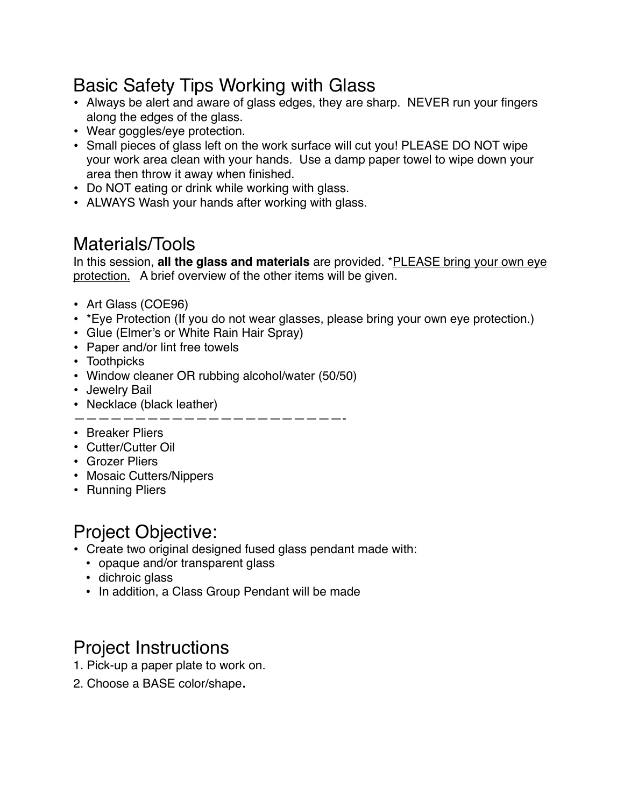#### Basic Safety Tips Working with Glass

- Always be alert and aware of glass edges, they are sharp. NEVER run your fingers along the edges of the glass.
- Wear goggles/eye protection.
- Small pieces of glass left on the work surface will cut you! PLEASE DO NOT wipe your work area clean with your hands. Use a damp paper towel to wipe down your area then throw it away when finished.
- Do NOT eating or drink while working with glass.
- ALWAYS Wash your hands after working with glass.

#### Materials/Tools

In this session, **all the glass and materials** are provided. \*PLEASE bring your own eye protection. A brief overview of the other items will be given.

- Art Glass (COE96)
- \*Eye Protection (If you do not wear glasses, please bring your own eye protection.)
- Glue (Elmer's or White Rain Hair Spray)
- Paper and/or lint free towels
- Toothpicks
- Window cleaner OR rubbing alcohol/water (50/50)
- Jewelry Bail
- Necklace (black leather)

——————————————————————-

- Breaker Pliers
- Cutter/Cutter Oil
- Grozer Pliers
- Mosaic Cutters/Nippers
- Running Pliers

#### Project Objective:

- Create two original designed fused glass pendant made with:
	- opaque and/or transparent glass
	- dichroic glass
	- In addition, a Class Group Pendant will be made

#### Project Instructions

- 1. Pick-up a paper plate to work on.
- 2. Choose a BASE color/shape.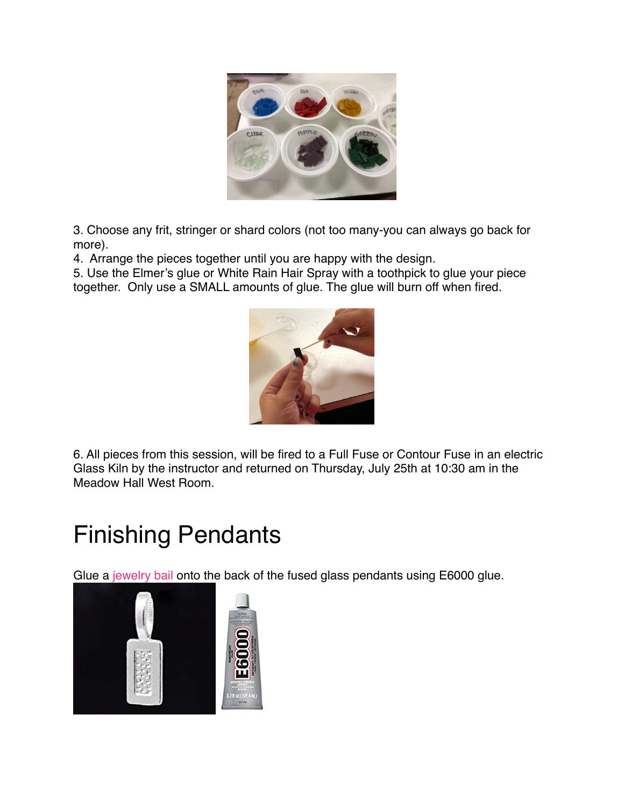

3. Choose any frit, stringer or shard colors (not too many-you can always go back for more).

4. Arrange the pieces together until you are happy with the design.

5. Use the Elmer's glue or White Rain Hair Spray with a toothpick to glue your piece together. Only use a SMALL amounts of glue. The glue will burn off when fired.



6. All pieces from this session, will be fired to a Full Fuse or Contour Fuse in an electric Glass Kiln by the instructor and returned on Thursday, July 25th at 10:30 am in the Meadow Hall West Room.

## Finishing Pendants

Glue a [jewelry bail](https://amzn.to/2WIaMwM) onto the back of the fused glass pendants using E6000 glue.